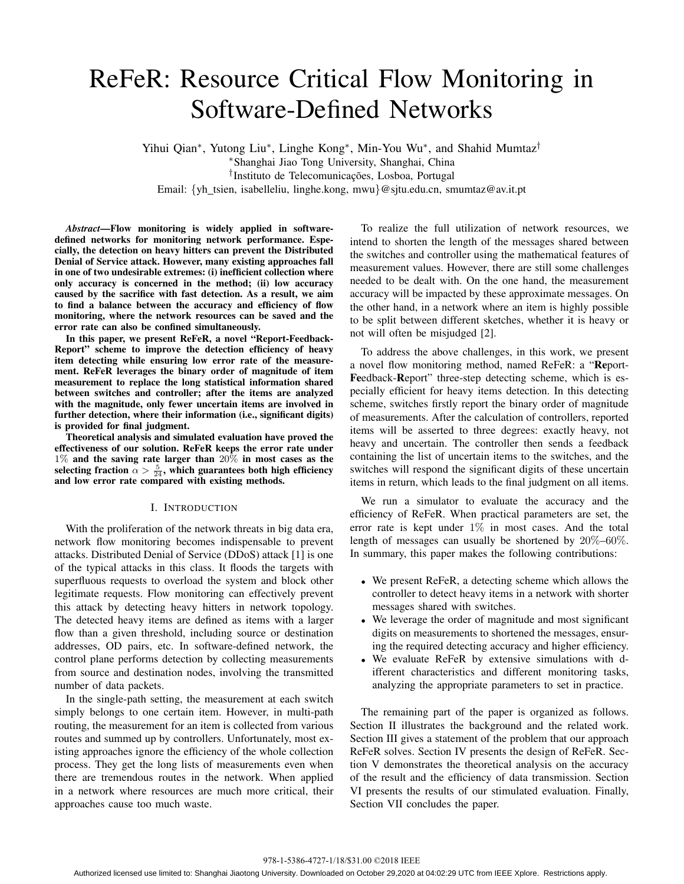# ReFeR: Resource Critical Flow Monitoring in Software-Defined Networks

Yihui Qian*∗* , Yutong Liu*∗* , Linghe Kong*∗* , Min-You Wu*∗* , and Shahid Mumtaz*† ∗*Shanghai Jiao Tong University, Shanghai, China <sup>†</sup> Instituto de Telecomunicações, Losboa, Portugal Email: {yh\_tsien, isabelleliu, linghe.kong, mwu}@sjtu.edu.cn, smumtaz@av.it.pt

*Abstract*—Flow monitoring is widely applied in softwaredefined networks for monitoring network performance. Especially, the detection on heavy hitters can prevent the Distributed Denial of Service attack. However, many existing approaches fall in one of two undesirable extremes: (i) inefficient collection where only accuracy is concerned in the method; (ii) low accuracy caused by the sacrifice with fast detection. As a result, we aim to find a balance between the accuracy and efficiency of flow monitoring, where the network resources can be saved and the error rate can also be confined simultaneously.

In this paper, we present ReFeR, a novel "Report-Feedback-Report" scheme to improve the detection efficiency of heavy item detecting while ensuring low error rate of the measurement. ReFeR leverages the binary order of magnitude of item measurement to replace the long statistical information shared between switches and controller; after the items are analyzed with the magnitude, only fewer uncertain items are involved in further detection, where their information (i.e., significant digits) is provided for final judgment.

Theoretical analysis and simulated evaluation have proved the effectiveness of our solution. ReFeR keeps the error rate under 1% and the saving rate larger than 20% in most cases as the selecting fraction  $\alpha > \frac{5}{24}$ , which guarantees both high efficiency and low error rate compared with existing methods.

### I. INTRODUCTION

With the proliferation of the network threats in big data era, network flow monitoring becomes indispensable to prevent attacks. Distributed Denial of Service (DDoS) attack [1] is one of the typical attacks in this class. It floods the targets with superfluous requests to overload the system and block other legitimate requests. Flow monitoring can effectively prevent this attack by detecting heavy hitters in network topology. The detected heavy items are defined as items with a larger flow than a given threshold, including source or destination addresses, OD pairs, etc. In software-defined network, the control plane performs detection by collecting measurements from source and destination nodes, involving the transmitted number of data packets.

In the single-path setting, the measurement at each switch simply belongs to one certain item. However, in multi-path routing, the measurement for an item is collected from various routes and summed up by controllers. Unfortunately, most existing approaches ignore the efficiency of the whole collection process. They get the long lists of measurements even when there are tremendous routes in the network. When applied in a network where resources are much more critical, their approaches cause too much waste.

To realize the full utilization of network resources, we intend to shorten the length of the messages shared between the switches and controller using the mathematical features of measurement values. However, there are still some challenges needed to be dealt with. On the one hand, the measurement accuracy will be impacted by these approximate messages. On the other hand, in a network where an item is highly possible to be split between different sketches, whether it is heavy or not will often be misjudged [2].

To address the above challenges, in this work, we present a novel flow monitoring method, named ReFeR: a "Report-Feedback-Report" three-step detecting scheme, which is especially efficient for heavy items detection. In this detecting scheme, switches firstly report the binary order of magnitude of measurements. After the calculation of controllers, reported items will be asserted to three degrees: exactly heavy, not heavy and uncertain. The controller then sends a feedback containing the list of uncertain items to the switches, and the switches will respond the significant digits of these uncertain items in return, which leads to the final judgment on all items.

We run a simulator to evaluate the accuracy and the efficiency of ReFeR. When practical parameters are set, the error rate is kept under 1% in most cases. And the total length of messages can usually be shortened by 20%–60%. In summary, this paper makes the following contributions:

- *•* We present ReFeR, a detecting scheme which allows the controller to detect heavy items in a network with shorter messages shared with switches.
- *•* We leverage the order of magnitude and most significant digits on measurements to shortened the messages, ensuring the required detecting accuracy and higher efficiency.
- *•* We evaluate ReFeR by extensive simulations with different characteristics and different monitoring tasks, analyzing the appropriate parameters to set in practice.

The remaining part of the paper is organized as follows. Section II illustrates the background and the related work. Section III gives a statement of the problem that our approach ReFeR solves. Section IV presents the design of ReFeR. Section V demonstrates the theoretical analysis on the accuracy of the result and the efficiency of data transmission. Section VI presents the results of our stimulated evaluation. Finally, Section VII concludes the paper.

978-1-5386-4727-1/18/\$31.00 ©2018 IEEE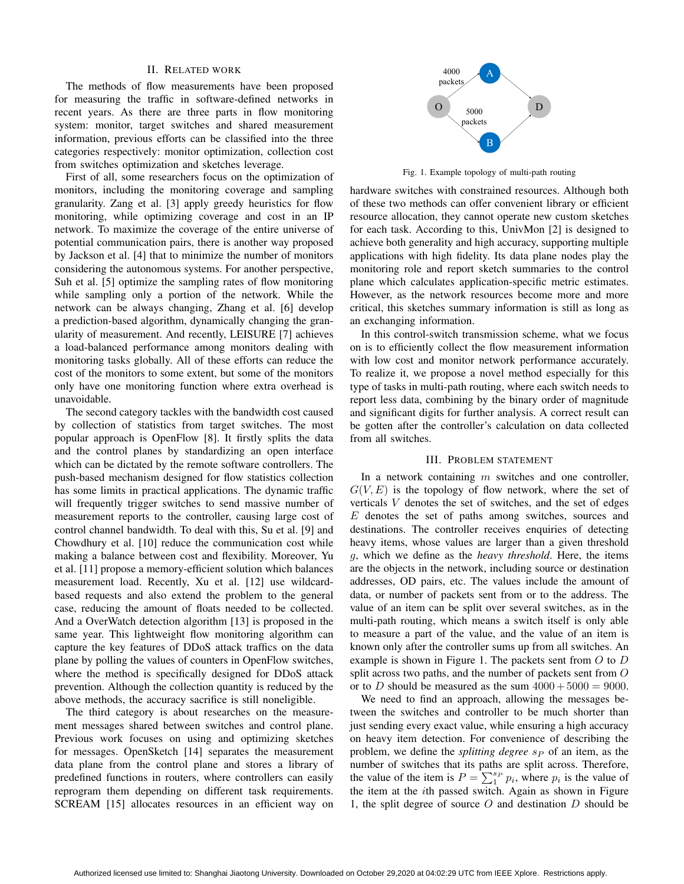## II. RELATED WORK

The methods of flow measurements have been proposed for measuring the traffic in software-defined networks in recent years. As there are three parts in flow monitoring system: monitor, target switches and shared measurement information, previous efforts can be classified into the three categories respectively: monitor optimization, collection cost from switches optimization and sketches leverage.

First of all, some researchers focus on the optimization of monitors, including the monitoring coverage and sampling granularity. Zang et al. [3] apply greedy heuristics for flow monitoring, while optimizing coverage and cost in an IP network. To maximize the coverage of the entire universe of potential communication pairs, there is another way proposed by Jackson et al. [4] that to minimize the number of monitors considering the autonomous systems. For another perspective, Suh et al. [5] optimize the sampling rates of flow monitoring while sampling only a portion of the network. While the network can be always changing, Zhang et al. [6] develop a prediction-based algorithm, dynamically changing the granularity of measurement. And recently, LEISURE [7] achieves a load-balanced performance among monitors dealing with monitoring tasks globally. All of these efforts can reduce the cost of the monitors to some extent, but some of the monitors only have one monitoring function where extra overhead is unavoidable.

The second category tackles with the bandwidth cost caused by collection of statistics from target switches. The most popular approach is OpenFlow [8]. It firstly splits the data and the control planes by standardizing an open interface which can be dictated by the remote software controllers. The push-based mechanism designed for flow statistics collection has some limits in practical applications. The dynamic traffic will frequently trigger switches to send massive number of measurement reports to the controller, causing large cost of control channel bandwidth. To deal with this, Su et al. [9] and Chowdhury et al. [10] reduce the communication cost while making a balance between cost and flexibility. Moreover, Yu et al. [11] propose a memory-efficient solution which balances measurement load. Recently, Xu et al. [12] use wildcardbased requests and also extend the problem to the general case, reducing the amount of floats needed to be collected. And a OverWatch detection algorithm [13] is proposed in the same year. This lightweight flow monitoring algorithm can capture the key features of DDoS attack traffics on the data plane by polling the values of counters in OpenFlow switches, where the method is specifically designed for DDoS attack prevention. Although the collection quantity is reduced by the above methods, the accuracy sacrifice is still noneligible.

The third category is about researches on the measurement messages shared between switches and control plane. Previous work focuses on using and optimizing sketches for messages. OpenSketch [14] separates the measurement data plane from the control plane and stores a library of predefined functions in routers, where controllers can easily reprogram them depending on different task requirements. SCREAM [15] allocates resources in an efficient way on



Fig. 1. Example topology of multi-path routing

hardware switches with constrained resources. Although both of these two methods can offer convenient library or efficient resource allocation, they cannot operate new custom sketches for each task. According to this, UnivMon [2] is designed to achieve both generality and high accuracy, supporting multiple applications with high fidelity. Its data plane nodes play the monitoring role and report sketch summaries to the control plane which calculates application-specific metric estimates. However, as the network resources become more and more critical, this sketches summary information is still as long as an exchanging information.

In this control-switch transmission scheme, what we focus on is to efficiently collect the flow measurement information with low cost and monitor network performance accurately. To realize it, we propose a novel method especially for this type of tasks in multi-path routing, where each switch needs to report less data, combining by the binary order of magnitude and significant digits for further analysis. A correct result can be gotten after the controller's calculation on data collected from all switches.

# III. PROBLEM STATEMENT

In a network containing *m* switches and one controller,  $G(V, E)$  is the topology of flow network, where the set of verticals *V* denotes the set of switches, and the set of edges *E* denotes the set of paths among switches, sources and destinations. The controller receives enquiries of detecting heavy items, whose values are larger than a given threshold *g*, which we define as the *heavy threshold*. Here, the items are the objects in the network, including source or destination addresses, OD pairs, etc. The values include the amount of data, or number of packets sent from or to the address. The value of an item can be split over several switches, as in the multi-path routing, which means a switch itself is only able to measure a part of the value, and the value of an item is known only after the controller sums up from all switches. An example is shown in Figure 1. The packets sent from *O* to *D* split across two paths, and the number of packets sent from *O* or to *D* should be measured as the sum  $4000 + 5000 = 9000$ .

We need to find an approach, allowing the messages between the switches and controller to be much shorter than just sending every exact value, while ensuring a high accuracy on heavy item detection. For convenience of describing the problem, we define the *splitting degree s<sup>P</sup>* of an item, as the number of switches that its paths are split across. Therefore, the value of the item is  $P = \sum_{i=1}^{s} p_i$ , where  $p_i$  is the value of the item at the *i*th passed switch. Again as shown in Figure 1, the split degree of source *O* and destination *D* should be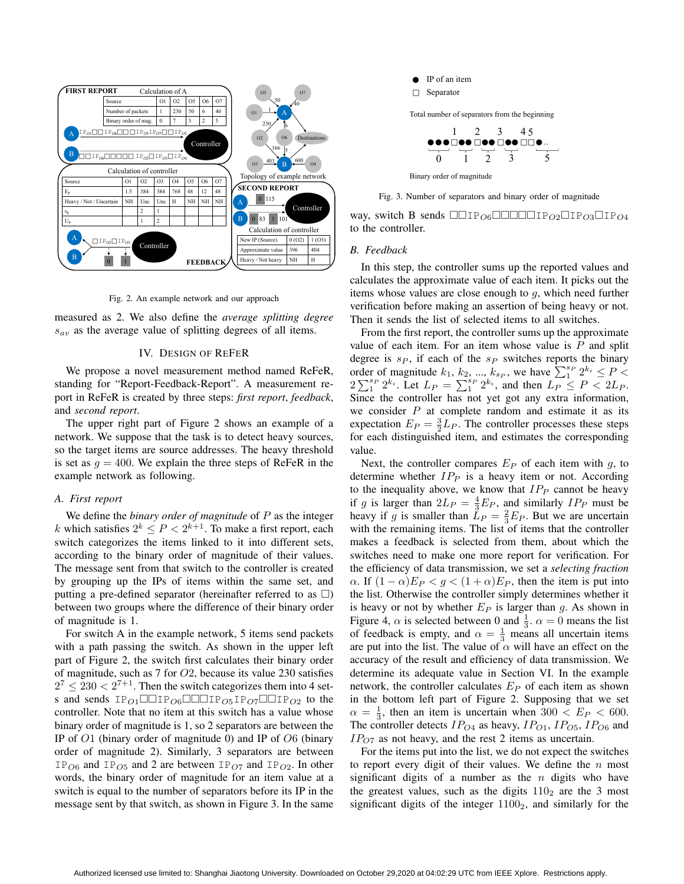

Fig. 2. An example network and our approach

measured as 2. We also define the *average splitting degree sav* as the average value of splitting degrees of all items.

## IV. DESIGN OF REFER

We propose a novel measurement method named ReFeR, standing for "Report-Feedback-Report". A measurement report in ReFeR is created by three steps: *first report*, *feedback*, and *second report*.

The upper right part of Figure 2 shows an example of a network. We suppose that the task is to detect heavy sources, so the target items are source addresses. The heavy threshold is set as  $q = 400$ . We explain the three steps of ReFeR in the example network as following.

# *A. First report*

We define the *binary order of magnitude* of *P* as the integer *k* which satisfies  $2^k \le P < 2^{k+1}$ . To make a first report, each switch categorizes the items linked to it into different sets, according to the binary order of magnitude of their values. The message sent from that switch to the controller is created by grouping up the IPs of items within the same set, and putting a pre-defined separator (hereinafter referred to as  $\Box$ ) between two groups where the difference of their binary order of magnitude is 1.

For switch A in the example network, 5 items send packets with a path passing the switch. As shown in the upper left part of Figure 2, the switch first calculates their binary order of magnitude, such as 7 for *O*2, because its value 230 satisfies  $2^7 \leq 230 < 2^{7+1}$ . Then the switch categorizes them into 4 sets and sends  $IP_{O1} \square \square IP_{O6} \square \square \square IP_{O5} IP_{O7} \square \square IP_{O2}$  to the controller. Note that no item at this switch has a value whose binary order of magnitude is 1, so 2 separators are between the IP of *O*1 (binary order of magnitude 0) and IP of *O*6 (binary order of magnitude 2). Similarly, 3 separators are between IP*O*<sup>6</sup> and IP*O*<sup>5</sup> and 2 are between IP*O*<sup>7</sup> and IP*O*2. In other words, the binary order of magnitude for an item value at a switch is equal to the number of separators before its IP in the message sent by that switch, as shown in Figure 3. In the same



□ Separator

Total number of separators from the beginning

$$
\underbrace{1\bullet 2\bullet 3\bullet 45}_{0\qquad \qquad 1\qquad \qquad 2\bullet 3\bullet 45}_{1\qquad \qquad 2\qquad \qquad 3\qquad \qquad 5}
$$

Binary order of magnitude

Fig. 3. Number of separators and binary order of magnitude

way, switch B sends IP*O*6IP*O*2IP*O*3IP*O*<sup>4</sup> to the controller.

#### *B. Feedback*

In this step, the controller sums up the reported values and calculates the approximate value of each item. It picks out the items whose values are close enough to *g*, which need further verification before making an assertion of being heavy or not. Then it sends the list of selected items to all switches.

From the first report, the controller sums up the approximate value of each item. For an item whose value is *P* and split degree is  $s_P$ , if each of the  $s_P$  switches reports the binary order of magnitude  $k_1, k_2, ..., k_{s_P}$ , we have  $\sum_{1}^{s_P} 2^{k_i} \le P$  $2\sum_{1}^{s_{P}} 2^{k_{i}}$ . Let  $L_{P} = \sum_{1}^{s_{P}} 2^{k_{i}}$ , and then  $L_{P} \le P < 2L_{P}$ . Since the controller has not yet got any extra information, we consider *P* at complete random and estimate it as its expectation  $E_P = \frac{3}{2} L_P$ . The controller processes these steps for each distinguished item, and estimates the corresponding value.

Next, the controller compares *E<sup>P</sup>* of each item with *g*, to determine whether *IP<sup>P</sup>* is a heavy item or not. According to the inequality above, we know that *IP<sup>P</sup>* cannot be heavy if *g* is larger than  $2L_P = \frac{4}{3}E_P$ , and similarly  $IP_P$  must be heavy if *g* is smaller than  $\tilde{L}_P = \frac{2}{3} E_P$ . But we are uncertain with the remaining items. The list of items that the controller makes a feedback is selected from them, about which the switches need to make one more report for verification. For the efficiency of data transmission, we set a *selecting fraction α*. If  $(1 − α)E_P < g < (1 + α)E_P$ , then the item is put into the list. Otherwise the controller simply determines whether it is heavy or not by whether *E<sup>P</sup>* is larger than *g*. As shown in Figure 4,  $\alpha$  is selected between 0 and  $\frac{1}{3}$ .  $\alpha = 0$  means the list of feedback is empty, and  $\alpha = \frac{1}{3}$  means all uncertain items are put into the list. The value of  $\alpha$  will have an effect on the accuracy of the result and efficiency of data transmission. We determine its adequate value in Section VI. In the example network, the controller calculates *E<sup>P</sup>* of each item as shown in the bottom left part of Figure 2. Supposing that we set  $\alpha = \frac{1}{3}$ , then an item is uncertain when  $300 < E_P < 600$ . The controller detects *IPO*<sup>4</sup> as heavy, *IPO*1, *IPO*5, *IPO*<sup>6</sup> and *IPO*<sup>7</sup> as not heavy, and the rest 2 items as uncertain.

For the items put into the list, we do not expect the switches to report every digit of their values. We define the *n* most significant digits of a number as the *n* digits who have the greatest values, such as the digits  $110<sub>2</sub>$  are the 3 most significant digits of the integer  $1100<sub>2</sub>$ , and similarly for the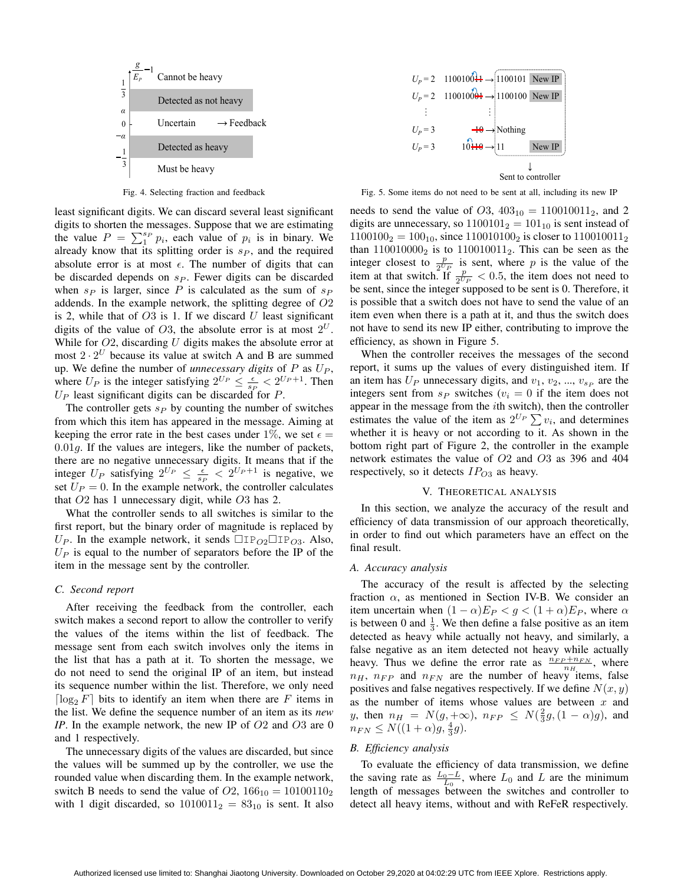

Fig. 4. Selecting fraction and feedback

least significant digits. We can discard several least significant digits to shorten the messages. Suppose that we are estimating the value  $P = \sum_{i=1}^{s_P} p_i$ , each value of  $p_i$  is in binary. We already know that its splitting order is *s<sup>P</sup>* , and the required absolute error is at most  $\epsilon$ . The number of digits that can be discarded depends on  $s_P$ . Fewer digits can be discarded when  $s_p$  is larger, since P is calculated as the sum of  $s_p$ addends. In the example network, the splitting degree of *O*2 is 2, while that of *O*3 is 1. If we discard *U* least significant digits of the value of  $O3$ , the absolute error is at most  $2^U$ . While for *O*2, discarding *U* digits makes the absolute error at most  $2 \cdot 2^U$  because its value at switch A and B are summed up. We define the number of *unnecessary digits* of *P* as *U<sup>P</sup>* , where  $U_P$  is the integer satisfying  $2^{U_P} \leq \frac{\epsilon}{s_P} < 2^{U_P+1}$ . Then *U<sup>P</sup>* least significant digits can be discarded for *P*.

The controller gets *s<sup>P</sup>* by counting the number of switches from which this item has appeared in the message. Aiming at keeping the error rate in the best cases under 1\%, we set  $\epsilon$  = 0*.*01*g*. If the values are integers, like the number of packets, there are no negative unnecessary digits. It means that if the integer  $U_P$  satisfying  $2^{U_P} \leq \frac{\epsilon}{s_P} < 2^{U_P+1}$  is negative, we set  $U_P = 0$ . In the example network, the controller calculates that *O*2 has 1 unnecessary digit, while *O*3 has 2.

What the controller sends to all switches is similar to the first report, but the binary order of magnitude is replaced by  $U_P$ . In the example network, it sends  $\square$ IP<sub>*O*2</sub> $\square$ IP<sub>*O*3</sub>. Also,  $U_P$  is equal to the number of separators before the IP of the item in the message sent by the controller.

## *C. Second report*

After receiving the feedback from the controller, each switch makes a second report to allow the controller to verify the values of the items within the list of feedback. The message sent from each switch involves only the items in the list that has a path at it. To shorten the message, we do not need to send the original IP of an item, but instead its sequence number within the list. Therefore, we only need  $\lceil \log_2 F \rceil$  bits to identify an item when there are *F* items in the list. We define the sequence number of an item as its *new IP*. In the example network, the new IP of *O*2 and *O*3 are 0 and 1 respectively.

The unnecessary digits of the values are discarded, but since the values will be summed up by the controller, we use the rounded value when discarding them. In the example network, switch B needs to send the value of  $O2$ ,  $166_{10} = 10100110_2$ with 1 digit discarded, so  $1010011_2 = 83_{10}$  is sent. It also



Fig. 5. Some items do not need to be sent at all, including its new IP

needs to send the value of  $O3$ ,  $403_{10} = 110010011_2$ , and 2 digits are unnecessary, so  $1100101<sub>2</sub> = 101<sub>10</sub>$  is sent instead of  $1100100<sub>2</sub> = 100<sub>10</sub>$ , since  $110010100<sub>2</sub>$  is closer to  $110010011<sub>2</sub>$ than  $110010000<sub>2</sub>$  is to  $110010011<sub>2</sub>$ . This can be seen as the integer closest to  $\frac{p}{2^{\nu_P}}$  is sent, where *p* is the value of the item at that switch. If  $\frac{p}{2^{U_P}} < 0.5$ , the item does not need to be sent, since the integer supposed to be sent is 0. Therefore, it is possible that a switch does not have to send the value of an item even when there is a path at it, and thus the switch does not have to send its new IP either, contributing to improve the efficiency, as shown in Figure 5.

When the controller receives the messages of the second report, it sums up the values of every distinguished item. If an item has  $U_P$  unnecessary digits, and  $v_1$ ,  $v_2$ , ...,  $v_{s_P}$  are the integers sent from  $s_P$  switches ( $v_i = 0$  if the item does not appear in the message from the *i*th switch), then the controller estimates the value of the item as  $2^{U_P} \sum_i v_i$ , and determines whether it is heavy or not according to it. As shown in the bottom right part of Figure 2, the controller in the example network estimates the value of *O*2 and *O*3 as 396 and 404 respectively, so it detects *IPO*<sup>3</sup> as heavy.

# V. THEORETICAL ANALYSIS

In this section, we analyze the accuracy of the result and efficiency of data transmission of our approach theoretically, in order to find out which parameters have an effect on the final result.

#### *A. Accuracy analysis*

The accuracy of the result is affected by the selecting fraction  $\alpha$ , as mentioned in Section IV-B. We consider an item uncertain when  $(1 - \alpha)E_P < g < (1 + \alpha)E_P$ , where  $\alpha$ is between 0 and  $\frac{1}{3}$ . We then define a false positive as an item detected as heavy while actually not heavy, and similarly, a false negative as an item detected not heavy while actually heavy. Thus we define the error rate as  $\frac{n_{FP} + n_{FN}}{n_H}$ , where  $n_H$ ,  $n_{FP}$  and  $n_{FN}$  are the number of heavy items, false positives and false negatives respectively. If we define  $N(x, y)$ as the number of items whose values are between *x* and *y*, then  $n_H = N(g, +\infty)$ ,  $n_{FP} \leq N(\frac{2}{3}g, (1-\alpha)g)$ , and  $n_{FN} \leq N((1+\alpha)g, \frac{4}{3}g).$ 

# *B. Efficiency analysis*

To evaluate the efficiency of data transmission, we define the saving rate as  $\frac{L_0 - L}{L_0}$ , where  $L_0$  and  $L$  are the minimum length of messages between the switches and controller to detect all heavy items, without and with ReFeR respectively.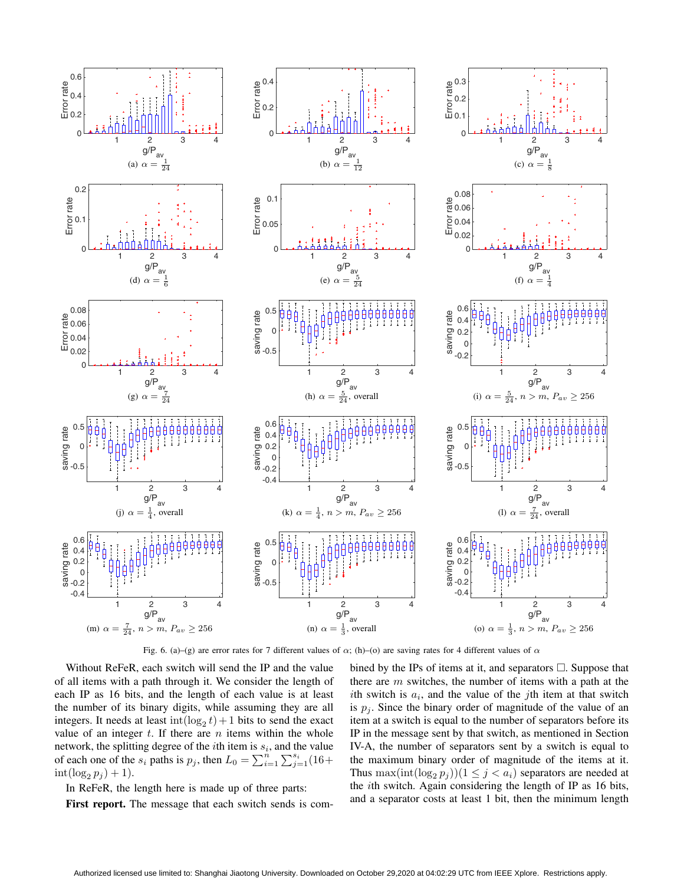

Fig. 6. (a)–(g) are error rates for 7 different values of  $\alpha$ ; (h)–(o) are saving rates for 4 different values of  $\alpha$ 

Without ReFeR, each switch will send the IP and the value of all items with a path through it. We consider the length of each IP as 16 bits, and the length of each value is at least the number of its binary digits, while assuming they are all integers. It needs at least  $\text{int}(\log_2 t) + 1$  bits to send the exact value of an integer *t*. If there are *n* items within the whole network, the splitting degree of the *i*th item is  $s_i$ , and the value of each one of the  $s_i$  paths is  $p_j$ , then  $L_0 = \sum_{i=1}^n \sum_{j=1}^{s_i} (16 +$  $int(log_2 p_j) + 1$ .

# In ReFeR, the length here is made up of three parts:

First report. The message that each switch sends is com-

bined by the IPs of items at it, and separators  $\Box$ . Suppose that there are *m* switches, the number of items with a path at the *i*th switch is  $a_i$ , and the value of the *j*th item at that switch is  $p_j$ . Since the binary order of magnitude of the value of an item at a switch is equal to the number of separators before its IP in the message sent by that switch, as mentioned in Section IV-A, the number of separators sent by a switch is equal to the maximum binary order of magnitude of the items at it. Thus  $\max(\text{int}(\log_2 p_j))(1 \leq j < a_i)$  separators are needed at the *i*th switch. Again considering the length of IP as 16 bits, and a separator costs at least 1 bit, then the minimum length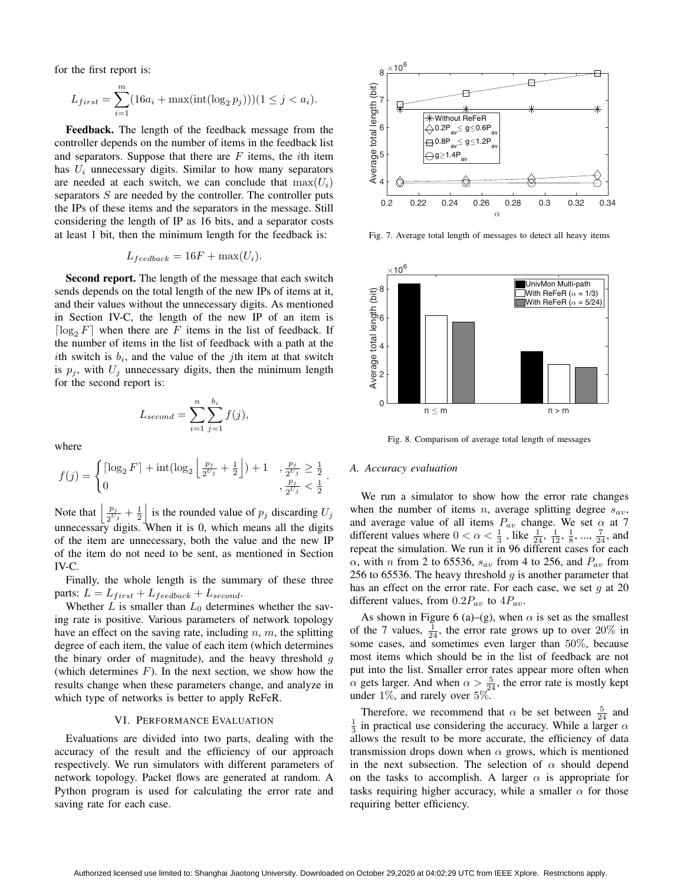for the first report is:

$$
L_{first} = \sum_{i=1}^{m} (16a_i + \max(\text{int}(\log_2 p_j)))(1 \le j < a_i).
$$

Feedback. The length of the feedback message from the controller depends on the number of items in the feedback list and separators. Suppose that there are *F* items, the *i*th item has *U<sup>i</sup>* unnecessary digits. Similar to how many separators are needed at each switch, we can conclude that  $\max(U_i)$ separators *S* are needed by the controller. The controller puts the IPs of these items and the separators in the message. Still considering the length of IP as 16 bits, and a separator costs at least 1 bit, then the minimum length for the feedback is:

$$
L_{feedback} = 16F + \max(U_i).
$$

Second report. The length of the message that each switch sends depends on the total length of the new IPs of items at it, and their values without the unnecessary digits. As mentioned in Section IV-C, the length of the new IP of an item is  $\lceil \log_2 F \rceil$  when there are *F* items in the list of feedback. If the number of items in the list of feedback with a path at the *i*th switch is  $b_i$ , and the value of the *j*th item at that switch is  $p_j$ , with  $U_j$  unnecessary digits, then the minimum length for the second report is:

$$
L_{second} = \sum_{i=1}^{n} \sum_{j=1}^{b_i} f(j),
$$

where

$$
f(j) = \begin{cases} \lceil \log_2 F \rceil + \text{int}(\log_2 \left\lfloor \frac{p_j}{2^{U_j}} + \frac{1}{2} \right\rfloor) + 1 & , \frac{p_j}{2^{U_j}} \geq \frac{1}{2} \\ 0 & , \frac{p_j}{2^{U_j}} < \frac{1}{2} \end{cases}.
$$

Note that  $\left| \frac{p_j}{2^U} \right|$  $\frac{p_j}{2^{U_j}} + \frac{1}{2}$  $\left| \right|$  is the rounded value of  $p_j$  discarding  $U_j$ unnecessary digits. When it is 0, which means all the digits of the item are unnecessary, both the value and the new IP of the item do not need to be sent, as mentioned in Section IV-C.

Finally, the whole length is the summary of these three parts:  $L = L_{first} + L_{feedback} + L_{second}$ .

Whether  $L$  is smaller than  $L_0$  determines whether the saving rate is positive. Various parameters of network topology have an effect on the saving rate, including *n*, *m*, the splitting degree of each item, the value of each item (which determines the binary order of magnitude), and the heavy threshold *g* (which determines *F*). In the next section, we show how the results change when these parameters change, and analyze in which type of networks is better to apply ReFeR.

# VI. PERFORMANCE EVALUATION

Evaluations are divided into two parts, dealing with the accuracy of the result and the efficiency of our approach respectively. We run simulators with different parameters of network topology. Packet flows are generated at random. A Python program is used for calculating the error rate and saving rate for each case.



Fig. 7. Average total length of messages to detect all heavy items



Fig. 8. Comparison of average total length of messages

## *A. Accuracy evaluation*

We run a simulator to show how the error rate changes when the number of items *n*, average splitting degree *sav*, and average value of all items  $P_{av}$  change. We set  $\alpha$  at 7 different values where  $0 < \alpha < \frac{1}{3}$ , like  $\frac{1}{24}$ ,  $\frac{1}{12}$ ,  $\frac{1}{8}$ , ...,  $\frac{7}{24}$ , and repeat the simulation. We run it in 96 different cases for each *α*, with *n* from 2 to 65536, *sav* from 4 to 256, and *Pav* from 256 to 65536. The heavy threshold *g* is another parameter that has an effect on the error rate. For each case, we set *g* at 20 different values, from  $0.2P_{av}$  to  $4P_{av}$ .

As shown in Figure 6 (a)–(g), when  $\alpha$  is set as the smallest of the 7 values,  $\frac{1}{24}$ , the error rate grows up to over 20% in some cases, and sometimes even larger than 50%, because most items which should be in the list of feedback are not put into the list. Smaller error rates appear more often when *α* gets larger. And when  $\alpha > \frac{5}{24}$ , the error rate is mostly kept under 1%, and rarely over 5%.

Therefore, we recommend that  $\alpha$  be set between  $\frac{5}{24}$  and  $\frac{1}{3}$  in practical use considering the accuracy. While a larger  $\alpha$ allows the result to be more accurate, the efficiency of data transmission drops down when *α* grows, which is mentioned in the next subsection. The selection of  $\alpha$  should depend on the tasks to accomplish. A larger  $\alpha$  is appropriate for tasks requiring higher accuracy, while a smaller  $\alpha$  for those requiring better efficiency.